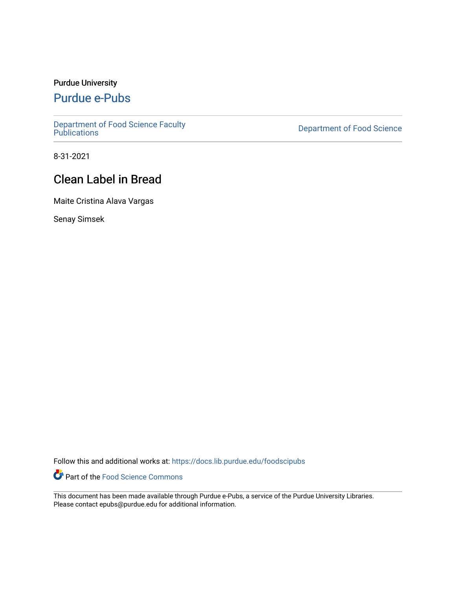## Purdue University

# [Purdue e-Pubs](https://docs.lib.purdue.edu/)

[Department of Food Science Faculty](https://docs.lib.purdue.edu/foodscipubs)

**Department of Food Science** 

8-31-2021

# Clean Label in Bread

Maite Cristina Alava Vargas

Senay Simsek

Follow this and additional works at: [https://docs.lib.purdue.edu/foodscipubs](https://docs.lib.purdue.edu/foodscipubs?utm_source=docs.lib.purdue.edu%2Ffoodscipubs%2F26&utm_medium=PDF&utm_campaign=PDFCoverPages) 

Part of the [Food Science Commons](http://network.bepress.com/hgg/discipline/84?utm_source=docs.lib.purdue.edu%2Ffoodscipubs%2F26&utm_medium=PDF&utm_campaign=PDFCoverPages) 

This document has been made available through Purdue e-Pubs, a service of the Purdue University Libraries. Please contact epubs@purdue.edu for additional information.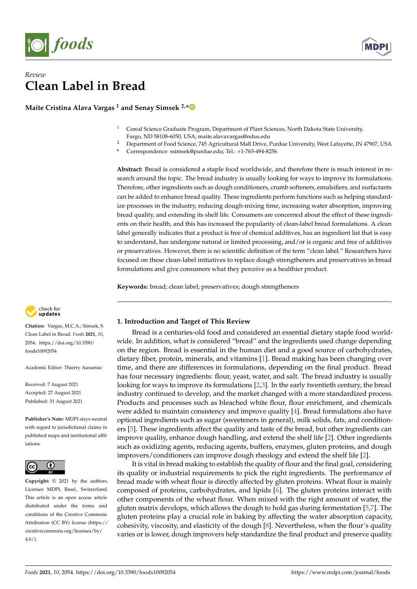

## *Review* **Clean Label in Bread**

**Maite Cristina Alava Vargas <sup>1</sup> and Senay Simsek 2,[\\*](https://orcid.org/0000-0003-0238-5947)**

- <sup>1</sup> Cereal Science Graduate Program, Department of Plant Sciences, North Dakota State University,
- Fargo, ND 58108-6050, USA; maite.alavavargas@ndus.edu
- <sup>2</sup> Department of Food Science, 745 Agricultural Mall Drive, Purdue University, West Lafayette, IN 47907, USA
- **\*** Correspondence: ssimsek@purdue.edu; Tel.: +1-765-494-8256

**Abstract:** Bread is considered a staple food worldwide, and therefore there is much interest in research around the topic. The bread industry is usually looking for ways to improve its formulations. Therefore, other ingredients such as dough conditioners, crumb softeners, emulsifiers, and surfactants can be added to enhance bread quality. These ingredients perform functions such as helping standardize processes in the industry, reducing dough-mixing time, increasing water absorption, improving bread quality, and extending its shelf life. Consumers are concerned about the effect of these ingredients on their health, and this has increased the popularity of clean-label bread formulations. A clean label generally indicates that a product is free of chemical additives, has an ingredient list that is easy to understand, has undergone natural or limited processing, and/or is organic and free of additives or preservatives. However, there is no scientific definition of the term "clean label." Researchers have focused on these clean-label initiatives to replace dough strengtheners and preservatives in bread formulations and give consumers what they perceive as a healthier product.

**Keywords:** bread; clean label; preservatives; dough strengtheners



**Citation:** Vargas, M.C.A.; Simsek, S. Clean Label in Bread. *Foods* **2021**, *10*, 2054. [https://doi.org/10.3390/](https://doi.org/10.3390/foods10092054) [foods10092054](https://doi.org/10.3390/foods10092054)

Academic Editor: Thierry Aussenac

Received: 7 August 2021 Accepted: 27 August 2021 Published: 31 August 2021

**Publisher's Note:** MDPI stays neutral with regard to jurisdictional claims in published maps and institutional affiliations.



**Copyright:** © 2021 by the authors. Licensee MDPI, Basel, Switzerland. This article is an open access article distributed under the terms and conditions of the Creative Commons Attribution (CC BY) license (https:/[/](https://creativecommons.org/licenses/by/4.0/) [creativecommons.org/licenses/by/](https://creativecommons.org/licenses/by/4.0/)  $4.0/$ ).

**1. Introduction and Target of This Review**

Bread is a centuries-old food and considered an essential dietary staple food worldwide. In addition, what is considered "bread" and the ingredients used change depending on the region. Bread is essential in the human diet and a good source of carbohydrates, dietary fiber, protein, minerals, and vitamins [\[1\]](#page-11-0). Bread making has been changing over time, and there are differences in formulations, depending on the final product. Bread has four necessary ingredients: flour, yeast, water, and salt. The bread industry is usually looking for ways to improve its formulations [\[2](#page-11-1)[,3\]](#page-11-2). In the early twentieth century, the bread industry continued to develop, and the market changed with a more standardized process. Products and processes such as bleached white flour, flour enrichment, and chemicals were added to maintain consistency and improve quality [\[4\]](#page-11-3). Bread formulations also have optional ingredients such as sugar (sweeteners in general), milk solids, fats, and conditioners [\[5\]](#page-11-4). These ingredients affect the quality and taste of the bread, but other ingredients can improve quality, enhance dough handling, and extend the shelf life [\[2\]](#page-11-1). Other ingredients such as oxidizing agents, reducing agents, buffers, enzymes, gluten proteins, and dough improvers/conditioners can improve dough rheology and extend the shelf life [\[2\]](#page-11-1).

It is vital in bread making to establish the quality of flour and the final goal, considering its quality or industrial requirements to pick the right ingredients. The performance of bread made with wheat flour is directly affected by gluten proteins. Wheat flour is mainly composed of proteins, carbohydrates, and lipids [\[6\]](#page-11-5). The gluten proteins interact with other components of the wheat flour. When mixed with the right amount of water, the gluten matrix develops, which allows the dough to hold gas during fermentation [\[5,](#page-11-4)[7\]](#page-11-6). The gluten proteins play a crucial role in baking by affecting the water absorption capacity, cohesivity, viscosity, and elasticity of the dough [\[8\]](#page-11-7). Nevertheless, when the flour's quality varies or is lower, dough improvers help standardize the final product and preserve quality.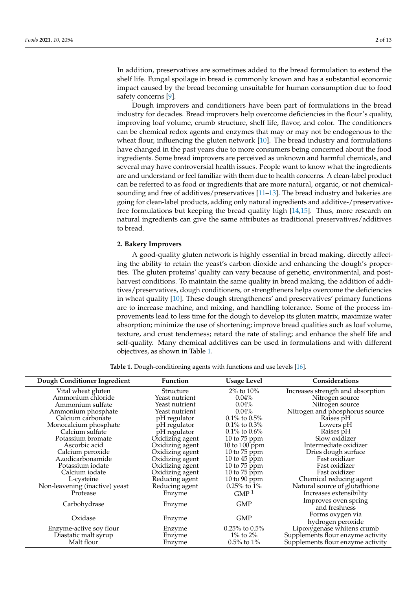In addition, preservatives are sometimes added to the bread formulation to extend the shelf life. Fungal spoilage in bread is commonly known and has a substantial economic impact caused by the bread becoming unsuitable for human consumption due to food safety concerns [\[9\]](#page-11-8).

Dough improvers and conditioners have been part of formulations in the bread industry for decades. Bread improvers help overcome deficiencies in the flour's quality, improving loaf volume, crumb structure, shelf life, flavor, and color. The conditioners can be chemical redox agents and enzymes that may or may not be endogenous to the wheat flour, influencing the gluten network [\[10\]](#page-11-9). The bread industry and formulations have changed in the past years due to more consumers being concerned about the food ingredients. Some bread improvers are perceived as unknown and harmful chemicals, and several may have controversial health issues. People want to know what the ingredients are and understand or feel familiar with them due to health concerns. A clean-label product can be referred to as food or ingredients that are more natural, organic, or not chemicalsounding and free of additives/preservatives [\[11](#page-11-10)[–13\]](#page-11-11). The bread industry and bakeries are going for clean-label products, adding only natural ingredients and additive-/preservativefree formulations but keeping the bread quality high [\[14](#page-11-12)[,15\]](#page-11-13). Thus, more research on natural ingredients can give the same attributes as traditional preservatives/additives to bread.

## **2. Bakery Improvers**

A good-quality gluten network is highly essential in bread making, directly affecting the ability to retain the yeast's carbon dioxide and enhancing the dough's properties. The gluten proteins' quality can vary because of genetic, environmental, and postharvest conditions. To maintain the same quality in bread making, the addition of additives/preservatives, dough conditioners, or strengtheners helps overcome the deficiencies in wheat quality [\[10\]](#page-11-9). These dough strengtheners' and preservatives' primary functions are to increase machine, and mixing, and handling tolerance. Some of the process improvements lead to less time for the dough to develop its gluten matrix, maximize water absorption; minimize the use of shortening; improve bread qualities such as loaf volume, texture, and crust tenderness; retard the rate of staling; and enhance the shelf life and self-quality. Many chemical additives can be used in formulations and with different objectives, as shown in Table [1.](#page-2-0)

| <b>Table 1.</b> Dough-conditioning agents with functions and use levels [16]. |  |  |  |
|-------------------------------------------------------------------------------|--|--|--|
|-------------------------------------------------------------------------------|--|--|--|

<span id="page-2-0"></span>

| Dough Conditioner Ingredient   | <b>Function</b> | <b>Usage Level</b>  | <b>Considerations</b>             |
|--------------------------------|-----------------|---------------------|-----------------------------------|
| Vital wheat gluten             | Structure       | $2\%$ to $10\%$     | Increases strength and absorption |
| Ammonium chloride              | Yeast nutrient  | $0.04\%$            | Nitrogen source                   |
| Ammonium sulfate               | Yeast nutrient  | $0.04\%$            | Nitrogen source                   |
| Ammonium phosphate             | Yeast nutrient  | $0.04\%$            | Nitrogen and phosphorus source    |
| Calcium carbonate              | pH regulator    | $0.1\%$ to $0.5\%$  | Raises pH                         |
| Monocalcium phosphate          | pH regulator    | $0.1\%$ to $0.3\%$  | Lowers pH                         |
| Calcium sulfate                | pH regulator    | $0.1\%$ to $0.6\%$  | Raises pH                         |
| Potassium bromate              | Oxidizing agent | 10 to $75$ ppm      | Slow oxidizer                     |
| Ascorbic acid                  | Oxidizing agent | 10 to 100 ppm       | Intermediate oxidizer             |
| Calcium peroxide               | Oxidizing agent | 10 to $75$ ppm      | Dries dough surface               |
| Azodicarbonamide               | Oxidizing agent | 10 to $45$ ppm      | Fast oxidizer                     |
| Potassium iodate               | Oxidizing agent | 10 to $75$ ppm      | Fast oxidizer                     |
| Calcium iodate                 | Oxidizing agent | 10 to $75$ ppm      | Fast oxidizer                     |
| L-cysteine                     | Reducing agent  | 10 to $90$ ppm      | Chemical reducing agent           |
| Non-leavening (inactive) yeast | Reducing agent  | $0.25\%$ to $1\%$   | Natural source of glutathione     |
| Protease                       | Enzyme          | GMP <sup>1</sup>    | Increases extensibility           |
| Carbohydrase                   | Enzyme          | <b>GMP</b>          | Improves oven spring              |
|                                |                 |                     | and freshness                     |
| Oxidase                        | Enzyme          | <b>GMP</b>          | Forms oxygen via                  |
|                                |                 |                     | hydrogen peroxide                 |
| Enzyme-active soy flour        | Enzyme          | $0.25\%$ to $0.5\%$ | Lipoxygenase whitens crumb        |
| Diastatic malt syrup           | Enzyme          | $1\%$ to $2\%$      | Supplements flour enzyme activity |
| Malt flour                     | Enzyme          | $0.5\%$ to $1\%$    | Supplements flour enzyme activity |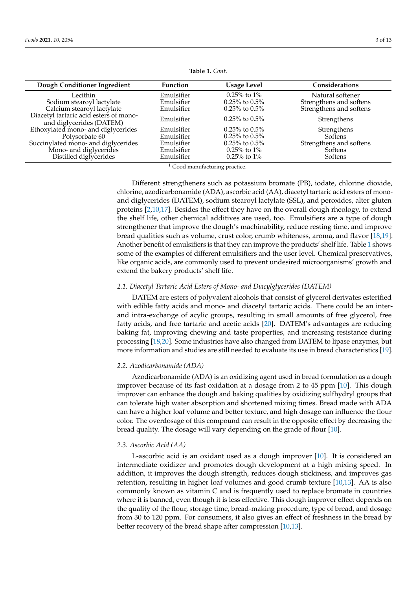| Dough Conditioner Ingredient                                       | <b>Function</b> | <b>Usage Level</b>  | Considerations          |
|--------------------------------------------------------------------|-----------------|---------------------|-------------------------|
| Lecithin                                                           | Emulsifier      | $0.25\%$ to $1\%$   | Natural softener        |
| Sodium stearoyl lactylate                                          | Emulsifier      | $0.25\%$ to $0.5\%$ | Strengthens and softens |
| Calcium stearoyl lactylate                                         | Emulsifier      | $0.25\%$ to $0.5\%$ | Strengthens and softens |
| Diacetyl tartaric acid esters of mono-<br>and diglycerides (DATEM) | Emulsifier      | $0.25\%$ to $0.5\%$ | Strengthens             |
| Ethoxylated mono- and diglycerides                                 | Emulsifier      | $0.25\%$ to $0.5\%$ | Strengthens             |
| Polysorbate 60                                                     | Emulsifier      | $0.25\%$ to $0.5\%$ | <b>Softens</b>          |
| Succinylated mono- and diglycerides                                | Emulsifier      | $0.25\%$ to $0.5\%$ | Strengthens and softens |
| Mono- and diglycerides                                             | Emulsifier      | $0.25\%$ to $1\%$   | Softens                 |
| Distilled diglycerides                                             | Emulsifier      | $0.25\%$ to $1\%$   | Softens                 |

**Table 1.** *Cont.*

<sup>1</sup> Good manufacturing practice.

Different strengtheners such as potassium bromate (PB), iodate, chlorine dioxide, chlorine, azodicarbonamide (ADA), ascorbic acid (AA), diacetyl tartaric acid esters of monoand diglycerides (DATEM), sodium stearoyl lactylate (SSL), and peroxides, alter gluten proteins [\[2](#page-11-1)[,10](#page-11-9)[,17\]](#page-11-15). Besides the effect they have on the overall dough rheology, to extend the shelf life, other chemical additives are used, too. Emulsifiers are a type of dough strengthener that improve the dough's machinability, reduce resting time, and improve bread qualities such as volume, crust color, crumb whiteness, aroma, and flavor [\[18,](#page-11-16)[19\]](#page-11-17). Another benefit of emulsifiers is that they can improve the products' shelf life. Table [1](#page-2-0) shows some of the examples of different emulsifiers and the user level. Chemical preservatives, like organic acids, are commonly used to prevent undesired microorganisms' growth and extend the bakery products' shelf life.

## *2.1. Diacetyl Tartaric Acid Esters of Mono- and Diacylglycerides (DATEM)*

DATEM are esters of polyvalent alcohols that consist of glycerol derivates esterified with edible fatty acids and mono- and diacetyl tartaric acids. There could be an interand intra-exchange of acylic groups, resulting in small amounts of free glycerol, free fatty acids, and free tartaric and acetic acids [\[20\]](#page-11-18). DATEM's advantages are reducing baking fat, improving chewing and taste properties, and increasing resistance during processing [\[18,](#page-11-16)[20\]](#page-11-18). Some industries have also changed from DATEM to lipase enzymes, but more information and studies are still needed to evaluate its use in bread characteristics [\[19\]](#page-11-17).

#### *2.2. Azodicarbonamide (ADA)*

Azodicarbonamide (ADA) is an oxidizing agent used in bread formulation as a dough improver because of its fast oxidation at a dosage from 2 to 45 ppm [\[10\]](#page-11-9). This dough improver can enhance the dough and baking qualities by oxidizing sulfhydryl groups that can tolerate high water absorption and shortened mixing times. Bread made with ADA can have a higher loaf volume and better texture, and high dosage can influence the flour color. The overdosage of this compound can result in the opposite effect by decreasing the bread quality. The dosage will vary depending on the grade of flour [\[10\]](#page-11-9).

#### *2.3. Ascorbic Acid (AA)*

L-ascorbic acid is an oxidant used as a dough improver [\[10\]](#page-11-9). It is considered an intermediate oxidizer and promotes dough development at a high mixing speed. In addition, it improves the dough strength, reduces dough stickiness, and improves gas retention, resulting in higher loaf volumes and good crumb texture [\[10](#page-11-9)[,13\]](#page-11-11). AA is also commonly known as vitamin C and is frequently used to replace bromate in countries where it is banned, even though it is less effective. This dough improver effect depends on the quality of the flour, storage time, bread-making procedure, type of bread, and dosage from 30 to 120 ppm. For consumers, it also gives an effect of freshness in the bread by better recovery of the bread shape after compression [\[10,](#page-11-9)[13\]](#page-11-11).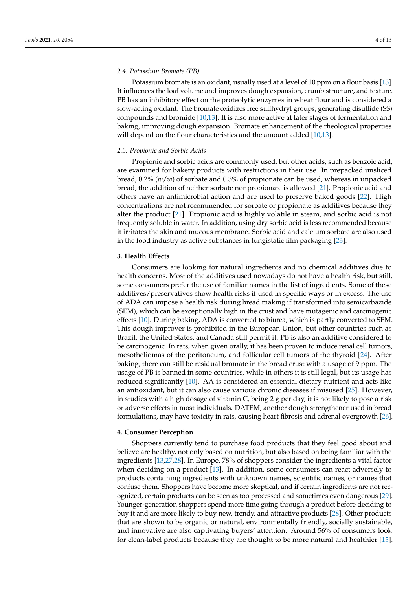## *2.4. Potassium Bromate (PB)*

Potassium bromate is an oxidant, usually used at a level of 10 ppm on a flour basis [\[13\]](#page-11-11). It influences the loaf volume and improves dough expansion, crumb structure, and texture. PB has an inhibitory effect on the proteolytic enzymes in wheat flour and is considered a slow-acting oxidant. The bromate oxidizes free sulfhydryl groups, generating disulfide (SS) compounds and bromide [\[10,](#page-11-9)[13\]](#page-11-11). It is also more active at later stages of fermentation and baking, improving dough expansion. Bromate enhancement of the rheological properties will depend on the flour characteristics and the amount added [\[10](#page-11-9)[,13\]](#page-11-11).

## *2.5. Propionic and Sorbic Acids*

Propionic and sorbic acids are commonly used, but other acids, such as benzoic acid, are examined for bakery products with restrictions in their use. In prepacked unsliced bread, 0.2% (*w*/*w*) of sorbate and 0.3% of propionate can be used, whereas in unpacked bread, the addition of neither sorbate nor propionate is allowed [\[21\]](#page-12-0). Propionic acid and others have an antimicrobial action and are used to preserve baked goods [\[22\]](#page-12-1). High concentrations are not recommended for sorbate or propionate as additives because they alter the product [\[21\]](#page-12-0). Propionic acid is highly volatile in steam, and sorbic acid is not frequently soluble in water. In addition, using dry sorbic acid is less recommended because it irritates the skin and mucous membrane. Sorbic acid and calcium sorbate are also used in the food industry as active substances in fungistatic film packaging [\[23\]](#page-12-2).

## **3. Health Effects**

Consumers are looking for natural ingredients and no chemical additives due to health concerns. Most of the additives used nowadays do not have a health risk, but still, some consumers prefer the use of familiar names in the list of ingredients. Some of these additives/preservatives show health risks if used in specific ways or in excess. The use of ADA can impose a health risk during bread making if transformed into semicarbazide (SEM), which can be exceptionally high in the crust and have mutagenic and carcinogenic effects [\[10\]](#page-11-9). During baking, ADA is converted to biurea, which is partly converted to SEM. This dough improver is prohibited in the European Union, but other countries such as Brazil, the United States, and Canada still permit it. PB is also an additive considered to be carcinogenic. In rats, when given orally, it has been proven to induce renal cell tumors, mesotheliomas of the peritoneum, and follicular cell tumors of the thyroid [\[24\]](#page-12-3). After baking, there can still be residual bromate in the bread crust with a usage of 9 ppm. The usage of PB is banned in some countries, while in others it is still legal, but its usage has reduced significantly [\[10\]](#page-11-9). AA is considered an essential dietary nutrient and acts like an antioxidant, but it can also cause various chronic diseases if misused [\[25\]](#page-12-4). However, in studies with a high dosage of vitamin C, being 2 g per day, it is not likely to pose a risk or adverse effects in most individuals. DATEM, another dough strengthener used in bread formulations, may have toxicity in rats, causing heart fibrosis and adrenal overgrowth [\[26\]](#page-12-5).

## **4. Consumer Perception**

Shoppers currently tend to purchase food products that they feel good about and believe are healthy, not only based on nutrition, but also based on being familiar with the ingredients [\[13](#page-11-11)[,27](#page-12-6)[,28\]](#page-12-7). In Europe, 78% of shoppers consider the ingredients a vital factor when deciding on a product [\[13\]](#page-11-11). In addition, some consumers can react adversely to products containing ingredients with unknown names, scientific names, or names that confuse them. Shoppers have become more skeptical, and if certain ingredients are not recognized, certain products can be seen as too processed and sometimes even dangerous [\[29\]](#page-12-8). Younger-generation shoppers spend more time going through a product before deciding to buy it and are more likely to buy new, trendy, and attractive products [\[28\]](#page-12-7). Other products that are shown to be organic or natural, environmentally friendly, socially sustainable, and innovative are also captivating buyers' attention. Around 56% of consumers look for clean-label products because they are thought to be more natural and healthier [\[15\]](#page-11-13).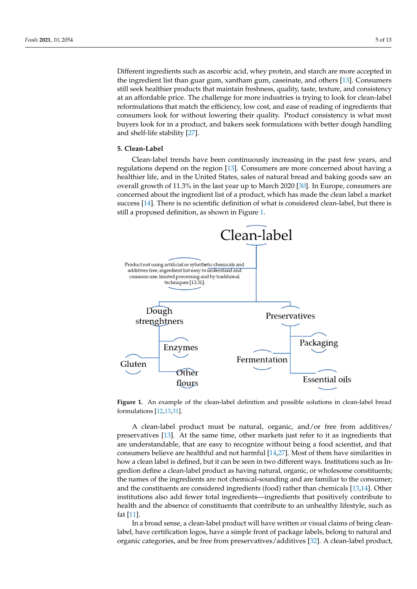Different ingredients such as ascorbic acid, whey protein, and starch are more accepted in the ingredient list than guar gum, xantham gum, caseinate, and others [\[13\]](#page-11-11). Consumers still seek healthier products that maintain freshness, quality, taste, texture, and consistency at an affordable price. The challenge for more industries is trying to look for clean-label reformulations that match the efficiency, low cost, and ease of reading of ingredients that consumers look for without lowering their quality. Product consistency is what most buyers look for in a product, and bakers seek formulations with better dough handling and shelf-life stability [\[27\]](#page-12-6).

#### **5. Clean-Label 5. Clean-Label**

Clean-label trends have been continuously increasing in the past few years, and regulations depend on the region [\[13\]](#page-11-11). Consumers are more concerned about having a<br>dependence of the United States, saw and bread and bread and baking goods saw and bread and bread and bread an healthier life, and in the United States, sales of natural bread and baking goods saw an<br> overall growth of 11.3% in the last year up to March 2020 [\[30\]](#page-12-9). In Europe, consumers are concerned about the ingredient list of a product, which has made the clean label a market cerned about the ingredient list of a product, which has made the clean label a market success [\[14\]](#page-11-12). There is no scientific definition of what is considered clean-label, but there is success [14]. There is no scientific definition of what is considered clean-label, but there is still a proposed definition, as shown in Figure [1.](#page-5-0) still a proposed definition, as shown in Figure 1. Clean-label trends have been continuously increasing in the past few years, and reg-Liedi-label tiens have been continuously increasing in the past lew years,

<span id="page-5-0"></span>

**Figure 1.** An example of the clean-label definition and possible solutions in clean-label bread formulations [12.12.21] formulations  $[12, 13, 31]$  $[12, 13, 31]$  $[12, 13, 31]$  $[12, 13, 31]$ .

A clean-label product must be natural, organic, and/or free from additives/ preservatives [\[13\]](#page-11-11). At the same time, other markets just refer to it as ingredients that are understandable, that are easy to recognize without being a food scientist, and that consumers believe are healthful and not harmful [\[14](#page-11-12)[,27\]](#page-12-6). Most of them have similarities in how a clean label is defined, but it can be seen in two different ways. Institutions such as Ingredion define a clean-label product as having natural, organic, or wholesome constituents; the names of the ingredients are not chemical-sounding and are familiar to the consumer; and the constituents are considered ingredients (food) rather than chemicals [\[13](#page-11-11)[,14\]](#page-11-12). Other institutions also add fewer total ingredients—ingredients that positively contribute to health and the absence of constituents that contribute to an unhealthy lifestyle, such as fat [\[11\]](#page-11-10).

In a broad sense, a clean-label product will have written or visual claims of being cleanlabel, have certification logos, have a simple front of package labels, belong to natural and organic categories, and be free from preservatives/additives [\[32\]](#page-12-11). A clean-label product,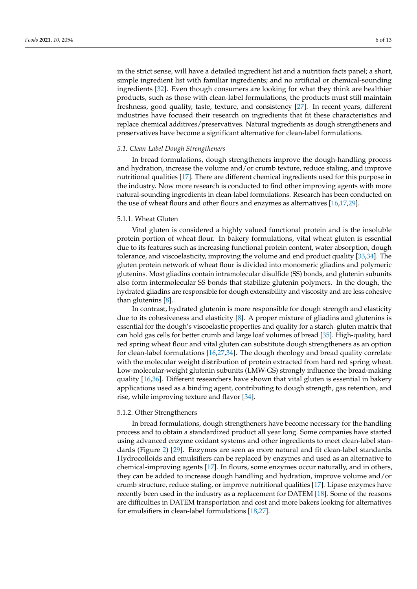in the strict sense, will have a detailed ingredient list and a nutrition facts panel; a short, simple ingredient list with familiar ingredients; and no artificial or chemical-sounding ingredients [\[32\]](#page-12-11). Even though consumers are looking for what they think are healthier products, such as those with clean-label formulations, the products must still maintain freshness, good quality, taste, texture, and consistency [\[27\]](#page-12-6). In recent years, different industries have focused their research on ingredients that fit these characteristics and replace chemical additives/preservatives. Natural ingredients as dough strengtheners and preservatives have become a significant alternative for clean-label formulations.

## *5.1. Clean-Label Dough Strengtheners*

In bread formulations, dough strengtheners improve the dough-handling process and hydration, increase the volume and/or crumb texture, reduce staling, and improve nutritional qualities [\[17\]](#page-11-15). There are different chemical ingredients used for this purpose in the industry. Now more research is conducted to find other improving agents with more natural-sounding ingredients in clean-label formulations. Research has been conducted on the use of wheat flours and other flours and enzymes as alternatives [\[16](#page-11-14)[,17](#page-11-15)[,29\]](#page-12-8).

## 5.1.1. Wheat Gluten

Vital gluten is considered a highly valued functional protein and is the insoluble protein portion of wheat flour. In bakery formulations, vital wheat gluten is essential due to its features such as increasing functional protein content, water absorption, dough tolerance, and viscoelasticity, improving the volume and end product quality [\[33](#page-12-12)[,34\]](#page-12-13). The gluten protein network of wheat flour is divided into monomeric gliadins and polymeric glutenins. Most gliadins contain intramolecular disulfide (SS) bonds, and glutenin subunits also form intermolecular SS bonds that stabilize glutenin polymers. In the dough, the hydrated gliadins are responsible for dough extensibility and viscosity and are less cohesive than glutenins [\[8\]](#page-11-7).

In contrast, hydrated glutenin is more responsible for dough strength and elasticity due to its cohesiveness and elasticity [\[8\]](#page-11-7). A proper mixture of gliadins and glutenins is essential for the dough's viscoelastic properties and quality for a starch–gluten matrix that can hold gas cells for better crumb and large loaf volumes of bread [\[35\]](#page-12-14). High-quality, hard red spring wheat flour and vital gluten can substitute dough strengtheners as an option for clean-label formulations [\[16,](#page-11-14)[27,](#page-12-6)[34\]](#page-12-13). The dough rheology and bread quality correlate with the molecular weight distribution of protein extracted from hard red spring wheat. Low-molecular-weight glutenin subunits (LMW-GS) strongly influence the bread-making quality [\[16](#page-11-14)[,36\]](#page-12-15). Different researchers have shown that vital gluten is essential in bakery applications used as a binding agent, contributing to dough strength, gas retention, and rise, while improving texture and flavor [\[34\]](#page-12-13).

## 5.1.2. Other Strengtheners

In bread formulations, dough strengtheners have become necessary for the handling process and to obtain a standardized product all year long. Some companies have started using advanced enzyme oxidant systems and other ingredients to meet clean-label standards (Figure [2\)](#page-7-0) [\[29\]](#page-12-8). Enzymes are seen as more natural and fit clean-label standards. Hydrocolloids and emulsifiers can be replaced by enzymes and used as an alternative to chemical-improving agents [\[17\]](#page-11-15). In flours, some enzymes occur naturally, and in others, they can be added to increase dough handling and hydration, improve volume and/or crumb structure, reduce staling, or improve nutritional qualities [\[17\]](#page-11-15). Lipase enzymes have recently been used in the industry as a replacement for DATEM [\[18\]](#page-11-16). Some of the reasons are difficulties in DATEM transportation and cost and more bakers looking for alternatives for emulsifiers in clean-label formulations [\[18,](#page-11-16)[27\]](#page-12-6).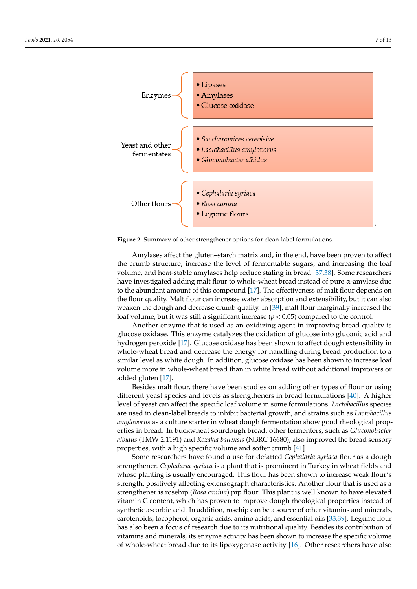<span id="page-7-0"></span>

**Figure 2.** Summary of other strengthener options for clean-label formulations. **Figure 2.** Summary of other strengthener options for clean-label formulations.

Amylases affect the gluten–starch matrix and, in the end, have been proven to affect Amylases affect the gluten–starch matrix and, in the end, have been proven to affect the crumb structure, increase the level of fermentable sugars, and increasing the loaf volume, and heat-stable amylases help reduce staling in bread [\[37](#page-12-16)[,38\]](#page-12-17). Some researchers have investigated adding malt flour to whole-wheat bread instead of pure  $\alpha$ -amylase due to the abundant amount of this compound  $[17]$ . The effectiveness of malt flour depends on the flour quality. Malt flour can increase water absorption and extensibility, but it can also the flour quality. Malt flour can increase water absorption and extensibility, but it can also weaken the dough and decrease crumb quality. In [39], malt flour marginally increased weaken the dough and decrease crumb quality. In [\[39\]](#page-12-18), malt flour marginally increased the loaf volume, but it was still a significant increase ( $p < 0.05$ ) compared to the control.

Another enzyme that is used as an oxidizing agent in improving bread quality is Another enzyme that is used as an oxidizing agent in improving bread quality is glucose oxidase. This enzyme catalyzes the oxidation of glucose into gluconic acid and glucose oxidase. This enzyme catalyzes the oxidation of glucose into gluconic acid and hydrogen peroxide [17]. Glucose oxidase has been shown to affect dough extensibility in hydrogen peroxide [\[17\]](#page-11-15). Glucose oxidase has been shown to affect dough extensibility in whole-wheat bread and decrease the energy for handling during bread production to a whole-wheat bread and decrease the energy for handling during bread production to a similar level as white dough. In addition, glucose oxidase has been shown to increase loaf volume more in whole-wheat bread than in white bread without additional improvers or  $11 + 11 + 11$ added gluten [17]. added gluten [\[17\]](#page-11-15).

Besides malt flour, there have been studies on adding other types of flour or using part flows the continues of the continues of the continues of the continues of the continues of the continues of the continues of the cont different yeast species and levels as strengtheners in bread formulations [40]. A higher level of yeast can affect the specific loaf volume in some formulations. *Lactobacillus* species are used in clean-label breads to inhibit bacterial growth, and strains such as *Lactobacillus* are used in clean-label breads to inhibit bacterial growth, and strains such as *Lactobacillus* are used in clean-label breads to inhibit bacterial growth, and strains such as *Lactobacillus amylovorus* as a culture starter in wheat dough fermentation show good rheological propdifferent yeast species and levels as strengtheners in bread formulations [\[40\]](#page-12-19). A higher erties in bread. In buckwheat sourdough bread, other fermenters, such as *Gluconobacter albidus* (TMW 2.1191) and *Kozakia baliensis* (NBRC 16680), also improved the bread sensory properties, with a high specific volume and softer crumb [\[41\]](#page-12-20).

Some researchers have found a use for defatted *Cephalaria syriaca* flour as a dough strengthener. *Cephalaria syriaca* is a plant that is prominent in Turkey in wheat fields and whose planting is usually encouraged. This flour has been shown to increase weak flour's strength, positively affecting extensograph characteristics. Another flour that is used as a strengthener is rosehip (*Rosa canina*) pip flour. This plant is well known to have elevated vitamin C content, which has proven to improve dough rheological properties instead of synthetic ascorbic acid. In addition, rosehip can be a source of other vitamins and minerals, carotenoids, tocopherol, organic acids, amino acids, and essential oils [\[33](#page-12-12)[,39\]](#page-12-18). Legume flour has also been a focus of research due to its nutritional quality. Besides its contribution of vitamins and minerals, its enzyme activity has been shown to increase the specific volume of whole-wheat bread due to its lipoxygenase activity [\[16\]](#page-11-14). Other researchers have also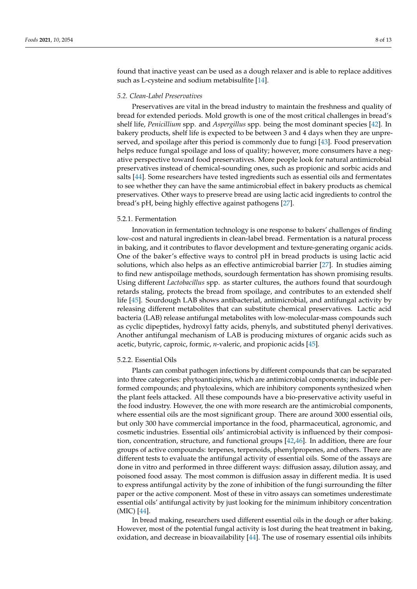found that inactive yeast can be used as a dough relaxer and is able to replace additives such as L-cysteine and sodium metabisulfite [\[14\]](#page-11-12).

## *5.2. Clean-Label Preservatives*

Preservatives are vital in the bread industry to maintain the freshness and quality of bread for extended periods. Mold growth is one of the most critical challenges in bread's shelf life, *Penicillium* spp. and *Aspergillus* spp. being the most dominant species [\[42\]](#page-12-21). In bakery products, shelf life is expected to be between 3 and 4 days when they are unpreserved, and spoilage after this period is commonly due to fungi [\[43\]](#page-12-22). Food preservation helps reduce fungal spoilage and loss of quality; however, more consumers have a negative perspective toward food preservatives. More people look for natural antimicrobial preservatives instead of chemical-sounding ones, such as propionic and sorbic acids and salts [\[44\]](#page-12-23). Some researchers have tested ingredients such as essential oils and fermentates to see whether they can have the same antimicrobial effect in bakery products as chemical preservatives. Other ways to preserve bread are using lactic acid ingredients to control the bread's pH, being highly effective against pathogens [\[27\]](#page-12-6).

#### 5.2.1. Fermentation

Innovation in fermentation technology is one response to bakers' challenges of finding low-cost and natural ingredients in clean-label bread. Fermentation is a natural process in baking, and it contributes to flavor development and texture-generating organic acids. One of the baker's effective ways to control pH in bread products is using lactic acid solutions, which also helps as an effective antimicrobial barrier [\[27\]](#page-12-6). In studies aiming to find new antispoilage methods, sourdough fermentation has shown promising results. Using different *Lactobacillus* spp. as starter cultures, the authors found that sourdough retards staling, protects the bread from spoilage, and contributes to an extended shelf life [\[45\]](#page-12-24). Sourdough LAB shows antibacterial, antimicrobial, and antifungal activity by releasing different metabolites that can substitute chemical preservatives. Lactic acid bacteria (LAB) release antifungal metabolites with low-molecular-mass compounds such as cyclic dipeptides, hydroxyl fatty acids, phenyls, and substituted phenyl derivatives. Another antifungal mechanism of LAB is producing mixtures of organic acids such as acetic, butyric, caproic, formic, *n*-valeric, and propionic acids [\[45\]](#page-12-24).

#### 5.2.2. Essential Oils

Plants can combat pathogen infections by different compounds that can be separated into three categories: phytoanticipins, which are antimicrobial components; inducible performed compounds; and phytoalexins, which are inhibitory components synthesized when the plant feels attacked. All these compounds have a bio-preservative activity useful in the food industry. However, the one with more research are the antimicrobial components, where essential oils are the most significant group. There are around 3000 essential oils, but only 300 have commercial importance in the food, pharmaceutical, agronomic, and cosmetic industries. Essential oils' antimicrobial activity is influenced by their composition, concentration, structure, and functional groups [\[42,](#page-12-21)[46\]](#page-12-25). In addition, there are four groups of active compounds: terpenes, terpenoids, phenylpropenes, and others. There are different tests to evaluate the antifungal activity of essential oils. Some of the assays are done in vitro and performed in three different ways: diffusion assay, dilution assay, and poisoned food assay. The most common is diffusion assay in different media. It is used to express antifungal activity by the zone of inhibition of the fungi surrounding the filter paper or the active component. Most of these in vitro assays can sometimes underestimate essential oils' antifungal activity by just looking for the minimum inhibitory concentration (MIC) [\[44\]](#page-12-23).

In bread making, researchers used different essential oils in the dough or after baking. However, most of the potential fungal activity is lost during the heat treatment in baking, oxidation, and decrease in bioavailability [\[44\]](#page-12-23). The use of rosemary essential oils inhibits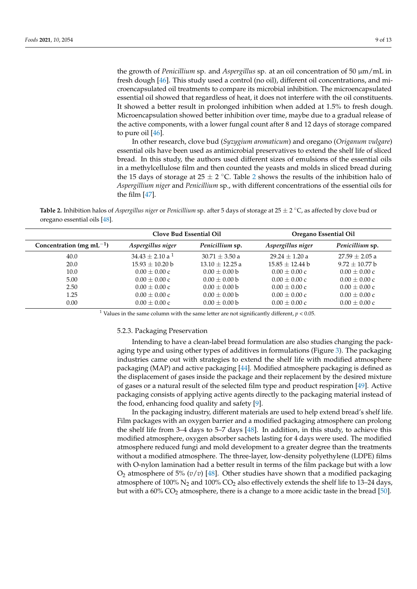the growth of *Penicillium* sp. and *Aspergillus* sp. at an oil concentration of 50 µm/mL in fresh dough [\[46\]](#page-12-25). This study used a control (no oil), different oil concentrations, and microencapsulated oil treatments to compare its microbial inhibition. The microencapsulated essential oil showed that regardless of heat, it does not interfere with the oil constituents. It showed a better result in prolonged inhibition when added at 1.5% to fresh dough. Microencapsulation showed better inhibition over time, maybe due to a gradual release of the active components, with a lower fungal count after 8 and 12 days of storage compared to pure oil [\[46\]](#page-12-25).

In other research, clove bud (*Syzygium aromaticum*) and oregano (*Origanum vulgare*) essential oils have been used as antimicrobial preservatives to extend the shelf life of sliced bread. In this study, the authors used different sizes of emulsions of the essential oils in a methylcellulose film and then counted the yeasts and molds in sliced bread during the 15 days of storage at [2](#page-9-0)5  $\pm$  2 °C. Table 2 shows the results of the inhibition halo of *Aspergillium niger* and *Penicillium* sp., with different concentrations of the essential oils for the film [\[47\]](#page-12-26).

<span id="page-9-0"></span>**Table 2.** Inhibition halos of *Aspergillus niger* or *Penicillium* sp. after 5 days of storage at 25 ± 2 ◦C, as affected by clove bud or oregano essential oils [\[48\]](#page-12-27).

|                                | Clove Bud Essential Oil |                   | Oregano Essential Oil |                   |
|--------------------------------|-------------------------|-------------------|-----------------------|-------------------|
| Concentration (mg mL $^{-1}$ ) | Aspergillus niger       | Penicillium sp.   | Aspergillus niger     | Penicillium sp.   |
| 40.0                           | $34.43 + 2.10 a1$       | $30.71 + 3.50 a$  | $29.24 + 1.20 a$      | $27.59 + 2.05$ a  |
| 20.0                           | $15.93 + 10.20$ b       | $13.10 + 12.25 a$ | $15.85 + 12.44$ b     | $9.72 + 10.77$ b  |
| 10.0                           | $0.00 \pm 0.00 c$       | $0.00 + 0.00$ b   | $0.00 + 0.00c$        | $0.00 + 0.00c$    |
| 5.00                           | $0.00 + 0.00c$          | $0.00 + 0.00$ b   | $0.00 + 0.00c$        | $0.00 + 0.00c$    |
| 2.50                           | $0.00 + 0.00c$          | $0.00 + 0.00$ b   | $0.00 \pm 0.00 c$     | $0.00 \pm 0.00 c$ |
| 1.25                           | $0.00 + 0.00c$          | $0.00 + 0.00$ b   | $0.00 + 0.00c$        | $0.00 + 0.00c$    |
| 0.00                           | $0.00 \pm 0.00 c$       | $0.00 \pm 0.00 b$ | $0.00 \pm 0.00 c$     | $0.00 \pm 0.00$ c |

<sup>1</sup> Values in the same column with the same letter are not significantly different,  $p < 0.05$ .

#### 5.2.3. Packaging Preservation

Intending to have a clean-label bread formulation are also studies changing the packaging type and using other types of additives in formulations (Figure [3\)](#page-10-0). The packaging industries came out with strategies to extend the shelf life with modified atmosphere packaging (MAP) and active packaging [\[44\]](#page-12-23). Modified atmosphere packaging is defined as the displacement of gases inside the package and their replacement by the desired mixture of gases or a natural result of the selected film type and product respiration [\[49\]](#page-12-28). Active packaging consists of applying active agents directly to the packaging material instead of the food, enhancing food quality and safety [\[9\]](#page-11-8).

In the packaging industry, different materials are used to help extend bread's shelf life. Film packages with an oxygen barrier and a modified packaging atmosphere can prolong the shelf life from 3–4 days to 5–7 days [\[48\]](#page-12-27). In addition, in this study, to achieve this modified atmosphere, oxygen absorber sachets lasting for 4 days were used. The modified atmosphere reduced fungi and mold development to a greater degree than the treatments without a modified atmosphere. The three-layer, low-density polyethylene (LDPE) films with O-nylon lamination had a better result in terms of the film package but with a low  $O_2$  atmosphere of 5%  $(v/v)$  [\[48\]](#page-12-27). Other studies have shown that a modified packaging atmosphere of 100%  $N_2$  and 100%  $CO_2$  also effectively extends the shelf life to 13–24 days, but with a  $60\%$  CO<sub>2</sub> atmosphere, there is a change to a more acidic taste in the bread [\[50\]](#page-12-29).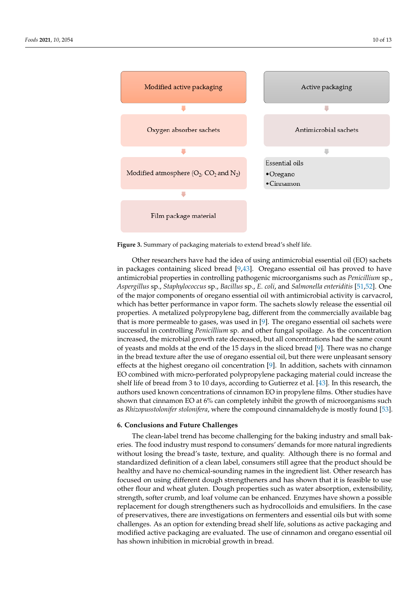<span id="page-10-0"></span>

**Figure 3.** Summary of packaging materials to extend bread's shelf life. **Figure 3.** Summary of packaging materials to extend bread's shelf life.

Other researchers have had the idea of using antimicrobial essential oil (EO) sachets in packages containing sliced bread [\[9,](#page-11-8)[43\]](#page-12-22). Oregano essential oil has proved to have antimicrobial properties in controlling pathogenic microorganisms such as *Penicillium* sp., modified atmosphere, oxygen absorber sachets lasting for 4 days were used. The modified *Aspergillus* sp., *Staphylococcus* sp., *Bacillus* sp., *E. coli*, and *Salmonella enteriditis* [\[51,](#page-12-30)[52\]](#page-13-0). One of the major components of oregano essential oil with antimicrobial activity is carvacrol, which has better performance in vapor form. The sachets slowly release the essential oil properties. A metalized polypropylene bag, different from the commercially available bag that is more permeable to gases, was used in [\[9\]](#page-11-8). The oregano essential oil sachets were successful in controlling *Penicillium* sp. and other fungal spoilage. As the concentration increased, the microbial growth rate decreased, but all concentrations had the same count of yeasts and molds at the end of the 15 days in the sliced bread [\[9\]](#page-11-8). There was no change in the bread texture after the use of oregano essential oil, but there were unpleasant sensory effects at the highest oregano oil concentration [\[9\]](#page-11-8). In addition, sachets with cinnamon EO combined with micro-perforated polypropylene packaging material could increase the shelf life of bread from 3 to 10 days, according to Gutierrez et al.  $[43]$ . In this research, the authors used known concentrations of cinnamon EO in propylene films. Other studies have shown that cinnamon EO at 6% can completely inhibit the growth of microorganisms such as *Rhizopusstolonifer stolonifera,* where the compound cinnamaldehyde is mostly found [\[53\]](#page-13-1).

## successful in controlling *Penicillium* sp. and other fungal spoilage. As the concentration **6. Conclusions and Future Challenges**

 $\overline{m}$  increased, the microbial growth rate decreased, but all concentrations had the same counter The clean-label trend has become challenging for the baking industry and small bak-<br>The clean-label trend has become challenging for the baking industry and small bakeries. The food industry must respond to consumers' demands for more natural ingredients<br>... without losing the bread's taste, texture, and quality. Although there is no formal and<br>atomic and distributed to the breadth there is no formal and the breadth there is no formal and the material committed with micro-performance parameters sum agree that the product should be healthy and have no chemical-sounding names in the ingredient list. Other research has focused on using different dough strengtheners and has shown that it is feasible to use receased on asing aincrent abagin strengtheners and has shown that it is reashed to ase<br>other flour and wheat gluten. Dough properties such as water absorption, extensibility, other from that when graters Dough properties start as water asserption, extensionity, strength, softer crumb, and loaf volume can be enhanced. Enzymes have shown a possible replacement for dough strengtheners such as hydrocolloids and emulsifiers. In the case of preservatives, there are investigations on fermenters and essential oils but with some of preservatives, there are investigations on fermenters and essential oils but with some standardized definition of a clean label, consumers still agree that the product should be challenges. As an option for extending bread shelf life, solutions as active packaging and modified active packaging are evaluated. The use of cinnamon and oregano essential oil has shown inhibition in microbial growth in bread.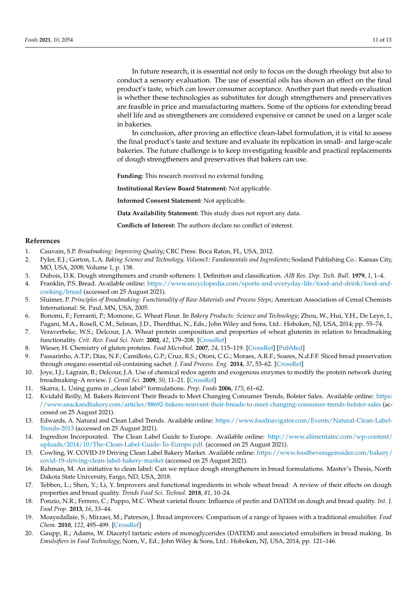In future research, it is essential not only to focus on the dough rheology but also to conduct a sensory evaluation. The use of essential oils has shown an effect on the final product's taste, which can lower consumer acceptance. Another part that needs evaluation is whether these technologies as substitutes for dough strengtheners and preservatives are feasible in price and manufacturing matters. Some of the options for extending bread shelf life and as strengtheners are considered expensive or cannot be used on a larger scale in bakeries.

In conclusion, after proving an effective clean-label formulation, it is vital to assess the final product's taste and texture and evaluate its replication in small- and large-scale bakeries. The future challenge is to keep investigating feasible and practical replacements of dough strengtheners and preservatives that bakers can use.

**Funding:** This research received no external funding.

**Institutional Review Board Statement:** Not applicable.

**Informed Consent Statement:** Not applicable.

**Data Availability Statement:** This study does not report any data.

**Conflicts of Interest:** The authors declare no conflict of interest.

## **References**

- <span id="page-11-0"></span>1. Cauvain, S.P. *Breadmaking: Improving Quality*; CRC Press: Boca Raton, FL, USA, 2012.
- <span id="page-11-1"></span>2. Pyler, E.J.; Gorton, L.A. *Baking Science and Technology, Volume1: Fundamentals and Ingredients*; Sosland Publishing Co.: Kansas City, MO, USA, 2008; Volume 1, p. 138.
- <span id="page-11-2"></span>3. Dubois, D.K. Dough strengtheners and crumb softeners: I. Definition and classification. *AIB Res. Dep. Tech. Bull.* **1979**, *1*, 1–4.
- <span id="page-11-3"></span>4. Franklin, P.S. Bread. Available online: [https://www.encyclopedia.com/sports-and-everyday-life/food-and-drink/food-and](https://www.encyclopedia.com/sports-and-everyday-life/food-and-drink/food-and-cooking/bread)[cooking/bread](https://www.encyclopedia.com/sports-and-everyday-life/food-and-drink/food-and-cooking/bread) (accessed on 25 August 2021).
- <span id="page-11-4"></span>5. Sluimer, P. *Principles of Breadmaking: Functionality of Raw Materials and Process Steps*; American Association of Cereal Chemists International: St. Paul, MN, USA, 2005.
- <span id="page-11-5"></span>6. Bonomi, F.; Ferranti, P.; Momone, G. Wheat Flour. In *Bakery Products: Science and Technology*; Zhou, W., Hui, Y.H., De Leyn, I., Pagani, M.A., Rosell, C.M., Selman, J.D., Therdthai, N., Eds.; John Wiley and Sons, Ltd.: Hoboken, NJ, USA, 2014; pp. 55–74.
- <span id="page-11-6"></span>7. Veraverbeke, W.S.; Delcour, J.A. Wheat protein composition and properties of wheat glutenin in relation to breadmaking functionality. *Crit. Rev. Food Sci. Nutr.* **2002**, *42*, 179–208. [\[CrossRef\]](http://doi.org/10.1080/10408690290825510)
- <span id="page-11-7"></span>8. Wieser, H. Chemistry of gluten proteins. *Food Microbiol.* **2007**, *24*, 115–119. [\[CrossRef\]](http://doi.org/10.1016/j.fm.2006.07.004) [\[PubMed\]](http://www.ncbi.nlm.nih.gov/pubmed/17008153)
- <span id="page-11-8"></span>9. Passarinho, A.T.P.; Dias, N.F.; Camilloto, G.P.; Cruz, R.S.; Otoni, C.G.; Moraes, A.R.F.; Soares, N.d.F.F. Sliced bread preservation through oregano essential oil-containing sachet. *J. Food Process. Eng.* **2014**, *37*, 53–62. [\[CrossRef\]](http://doi.org/10.1111/jfpe.12059)
- <span id="page-11-9"></span>10. Joye, I.J.; Lagrain, B.; Delcour, J.A. Use of chemical redox agents and exogenous enzymes to modify the protein network during breadmaking–A review. *J. Cereal Sci.* **2009**, *50*, 11–21. [\[CrossRef\]](http://doi.org/10.1016/j.jcs.2009.04.001)
- <span id="page-11-10"></span>11. Skarra, L. Using gums in "clean label" formulations. *Prep. Foods* **2006**, *175*, 61–62.
- <span id="page-11-19"></span>Kvidahl Reilly, M. Bakers Reinvent Their Breads to Meet Changing Consumer Trends, Bolster Sales. Available online: [https:](https://www.snackandbakery.com/articles/88692-bakers-reinvent-their-breads-to-meet-changing-consumer-trends-bolster-sales) [//www.snackandbakery.com/articles/88692-bakers-reinvent-their-breads-to-meet-changing-consumer-trends-bolster-sales](https://www.snackandbakery.com/articles/88692-bakers-reinvent-their-breads-to-meet-changing-consumer-trends-bolster-sales) (accessed on 25 August 2021).
- <span id="page-11-11"></span>13. Edwards, A. Natural and Clean Label Trends. Available online: [https://www.foodnavigator.com/Events/Natural-Clean-Label-](https://www.foodnavigator.com/Events/Natural-Clean-Label-Trends-2013)[Trends-2013](https://www.foodnavigator.com/Events/Natural-Clean-Label-Trends-2013) (accessed on 25 August 2021).
- <span id="page-11-12"></span>14. Ingredion Incorporated. The Clean Label Guide to Europe. Available online: [http://www.alimentatec.com/wp-content/](http://www.alimentatec.com/wp-content/uploads/2014/10/The-Clean-Label-Guide-To-Europe.pdf.) [uploads/2014/10/The-Clean-Label-Guide-To-Europe.pdf.](http://www.alimentatec.com/wp-content/uploads/2014/10/The-Clean-Label-Guide-To-Europe.pdf.) (accessed on 25 August 2021).
- <span id="page-11-13"></span>15. Cowling, W. COVID-19 Driving Clean Label Bakery Market. Available online: [https://www.foodbeverageinsider.com/bakery/](https://www.foodbeverageinsider.com/bakery/covid-19-driving-clean-label-bakery-market) [covid-19-driving-clean-label-bakery-market](https://www.foodbeverageinsider.com/bakery/covid-19-driving-clean-label-bakery-market) (accessed on 25 August 2021).
- <span id="page-11-14"></span>16. Rahman, M. An initiative to clean label: Can we replace dough strengtheners in bread formulations. Master's Thesis, North Dakota State University, Fargo, ND, USA, 2018.
- <span id="page-11-15"></span>17. Tebben, L.; Shen, Y.; Li, Y. Improvers and functional ingredients in whole wheat bread: A review of their effects on dough properties and bread quality. *Trends Food Sci. Technol.* **2018**, *81*, 10–24.
- <span id="page-11-16"></span>18. Ponzio, N.R.; Ferrero, C.; Puppo, M.C. Wheat varietal flours: Influence of pectin and DATEM on dough and bread quality. *Int. J. Food Prop.* **2013**, *16*, 33–44.
- <span id="page-11-17"></span>19. Moayedallaie, S.; Mirzaei, M.; Paterson, J. Bread improvers: Comparison of a range of lipases with a traditional emulsifier. *Food Chem.* **2010**, *122*, 495–499. [\[CrossRef\]](http://doi.org/10.1016/j.foodchem.2009.10.033)
- <span id="page-11-18"></span>20. Gaupp, R.; Adams, W. Diacetyl tartaric esters of monoglycerides (DATEM) and associated emulsifiers in bread making. In *Emulsifiers in Food Technology*; Norn, V., Ed.; John Wiley & Sons, Ltd.: Hoboken, NJ, USA, 2014; pp. 121–146.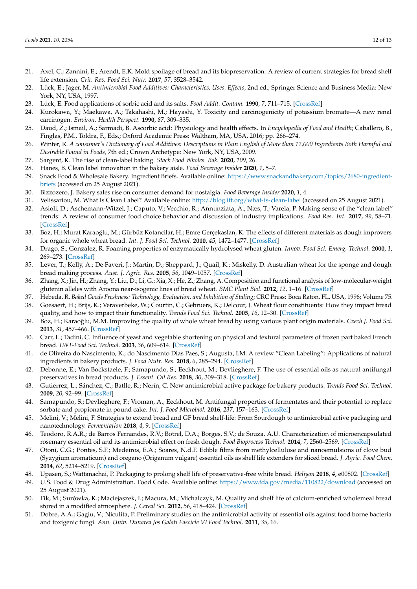- <span id="page-12-0"></span>21. Axel, C.; Zannini, E.; Arendt, E.K. Mold spoilage of bread and its biopreservation: A review of current strategies for bread shelf life extension. *Crit. Rev. Food Sci. Nutr.* **2017**, *57*, 3528–3542.
- <span id="page-12-1"></span>22. Lück, E.; Jager, M. *Antimicrobial Food Additives: Characteristics, Uses, Effects*, 2nd ed.; Springer Science and Business Media: New York, NY, USA, 1997.
- <span id="page-12-2"></span>23. Lück, E. Food applications of sorbic acid and its salts. *Food Addit. Contam.* **1990**, *7*, 711–715. [\[CrossRef\]](http://doi.org/10.1080/02652039009373936)
- <span id="page-12-3"></span>24. Kurokawa, Y.; Maekawa, A.; Takahashi, M.; Hayashi, Y. Toxicity and carcinogenicity of potassium bromate—A new renal carcinogen. *Environ. Health Perspect.* **1990**, *87*, 309–335.
- <span id="page-12-4"></span>25. Daud, Z.; Ismail, A.; Sarmadi, B. Ascorbic acid: Physiology and health effects. In *Encyclopedia of Food and Health*; Caballero, B., Finglas, P.M., Toldra, F., Eds.; Oxford Academic Press: Waltham, MA, USA, 2016; pp. 266–274.
- <span id="page-12-5"></span>26. Winter, R. *A consumer's Dictionary of Food Additives: Descriptions in Plain English of More than 12,000 Ingredients Both Harmful and Desirable Found in Foods*, 7th ed.; Crown Archetype: New York, NY, USA, 2009.
- <span id="page-12-6"></span>27. Sargent, K. The rise of clean-label baking. *Stack Food Wholes. Bak.* **2020**, *109*, 26.
- <span id="page-12-7"></span>28. Hanes, B. Clean label innovation in the bakery aisle. *Food Beverage Insider* **2020**, *1*, 5–7.
- <span id="page-12-8"></span>29. Snack Food & Wholesale Bakery. Ingredient Briefs. Available online: [https://www.snackandbakery.com/topics/2680-ingredient](https://www.snackandbakery.com/topics/2680-ingredient-briefs)[briefs](https://www.snackandbakery.com/topics/2680-ingredient-briefs) (accessed on 25 August 2021).
- <span id="page-12-9"></span>30. Bizzozero, J. Bakery sales rise on consumer demand for nostalgia. *Food Beverage Insider* **2020**, *1*, 4.
- <span id="page-12-10"></span>31. Velissariou, M. What Is Clean Label? Available online: <http://blog.ift.org/what-is-clean-label> (accessed on 25 August 2021).
- <span id="page-12-11"></span>32. Asioli, D.; Aschemann-Witzel, J.; Caputo, V.; Vecchio, R.; Annunziata, A.; Næs, T.; Varela, P. Making sense of the "clean label" trends: A review of consumer food choice behavior and discussion of industry implications. *Food Res. Int.* **2017**, *99*, 58–71. [\[CrossRef\]](http://doi.org/10.1016/j.foodres.2017.07.022)
- <span id="page-12-12"></span>33. Boz, H.; Murat Karaoğlu, M.; Gürbüz Kotancilar, H.; Emre Gerçekaslan, K. The effects of different materials as dough improvers for organic whole wheat bread. *Int. J. Food Sci. Technol.* **2010**, *45*, 1472–1477. [\[CrossRef\]](http://doi.org/10.1111/j.1365-2621.2010.02289.x)
- <span id="page-12-13"></span>34. Drago, S.; Gonzalez, R. Foaming properties of enzymatically hydrolysed wheat gluten. *Innov. Food Sci. Emerg. Technol.* **2000**, *1*, 269–273. [\[CrossRef\]](http://doi.org/10.1016/S1466-8564(00)00034-5)
- <span id="page-12-14"></span>35. Lever, T.; Kelly, A.; De Faveri, J.; Martin, D.; Sheppard, J.; Quail, K.; Miskelly, D. Australian wheat for the sponge and dough bread making process. *Aust. J. Agric. Res.* **2005**, *56*, 1049–1057. [\[CrossRef\]](http://doi.org/10.1071/AR05113)
- <span id="page-12-15"></span>36. Zhang, X.; Jin, H.; Zhang, Y.; Liu, D.; Li, G.; Xia, X.; He, Z.; Zhang, A. Composition and functional analysis of low-molecular-weight glutenin alleles with Aroona near-isogenic lines of bread wheat. *BMC Plant Biol.* **2012**, *12*, 1–16. [\[CrossRef\]](http://doi.org/10.1186/1471-2229-12-243)
- <span id="page-12-16"></span>37. Hebeda, R. *Baked Goods Freshness: Technology, Evaluation, and Inhibition of Staling*; CRC Press: Boca Raton, FL, USA, 1996; Volume 75.
- <span id="page-12-17"></span>38. Goesaert, H.; Brijs, K.; Veraverbeke, W.; Courtin, C.; Gebruers, K.; Delcour, J. Wheat flour constituents: How they impact bread quality, and how to impact their functionality. *Trends Food Sci. Technol.* **2005**, *16*, 12–30. [\[CrossRef\]](http://doi.org/10.1016/j.tifs.2004.02.011)
- <span id="page-12-18"></span>39. Boz, H.; Karaoğlu, M.M. Improving the quality of whole wheat bread by using various plant origin materials. *Czech J. Food Sci.* **2013**, *31*, 457–466. [\[CrossRef\]](http://doi.org/10.17221/410/2012-CJFS)
- <span id="page-12-19"></span>40. Carr, L.; Tadini, C. Influence of yeast and vegetable shortening on physical and textural parameters of frozen part baked French bread. *LWT-Food Sci. Technol.* **2003**, *36*, 609–614. [\[CrossRef\]](http://doi.org/10.1016/S0023-6438(03)00079-3)
- <span id="page-12-20"></span>41. de Oliveira do Nascimento, K.; do Nascimento Dias Paes, S.; Augusta, I.M. A review "Clean Labeling": Applications of natural ingredients in bakery products. *J. Food Nutr. Res.* **2018**, *6*, 285–294. [\[CrossRef\]](http://doi.org/10.12691/jfnr-6-5-2)
- <span id="page-12-21"></span>42. Debonne, E.; Van Bockstaele, F.; Samapundo, S.; Eeckhout, M.; Devlieghere, F. The use of essential oils as natural antifungal preservatives in bread products. *J. Essent. Oil Res.* **2018**, *30*, 309–318. [\[CrossRef\]](http://doi.org/10.1080/10412905.2018.1486239)
- <span id="page-12-22"></span>43. Gutierrez, L.; Sánchez, C.; Batlle, R.; Nerín, C. New antimicrobial active package for bakery products. *Trends Food Sci. Technol.* **2009**, *20*, 92–99. [\[CrossRef\]](http://doi.org/10.1016/j.tifs.2008.11.003)
- <span id="page-12-23"></span>44. Samapundo, S.; Devlieghere, F.; Vroman, A.; Eeckhout, M. Antifungal properties of fermentates and their potential to replace sorbate and propionate in pound cake. *Int. J. Food Microbiol.* **2016**, *237*, 157–163. [\[CrossRef\]](http://doi.org/10.1016/j.ijfoodmicro.2016.08.020)
- <span id="page-12-24"></span>45. Melini, V.; Melini, F. Strategies to extend bread and GF bread shelf-life: From Sourdough to antimicrobial active packaging and nanotechnology. *Fermentation* **2018**, *4*, 9. [\[CrossRef\]](http://doi.org/10.3390/fermentation4010009)
- <span id="page-12-25"></span>46. Teodoro, R.A.R.; de Barros Fernandes, R.V.; Botrel, D.A.; Borges, S.V.; de Souza, A.U. Characterization of microencapsulated rosemary essential oil and its antimicrobial effect on fresh dough. *Food Bioprocess Technol.* **2014**, *7*, 2560–2569. [\[CrossRef\]](http://doi.org/10.1007/s11947-014-1302-1)
- <span id="page-12-26"></span>47. Otoni, C.G.; Pontes, S.F.; Medeiros, E.A.; Soares, N.d.F. Edible films from methylcellulose and nanoemulsions of clove bud (Syzygium aromaticum) and oregano (Origanum vulgare) essential oils as shelf life extenders for sliced bread. *J. Agric. Food Chem.* **2014**, *62*, 5214–5219. [\[CrossRef\]](http://doi.org/10.1021/jf501055f)
- <span id="page-12-27"></span>48. Upasen, S.; Wattanachai, P. Packaging to prolong shelf life of preservative-free white bread. *Heliyon* **2018**, *4*, e00802. [\[CrossRef\]](http://doi.org/10.1016/j.heliyon.2018.e00802)
- <span id="page-12-28"></span>49. U.S. Food & Drug Administration. Food Code. Available online: <https://www.fda.gov/media/110822/download> (accessed on 25 August 2021).
- <span id="page-12-29"></span>50. Fik, M.; Surówka, K.; Maciejaszek, I.; Macura, M.; Michalczyk, M. Quality and shelf life of calcium-enriched wholemeal bread stored in a modified atmosphere. *J. Cereal Sci.* **2012**, *56*, 418–424. [\[CrossRef\]](http://doi.org/10.1016/j.jcs.2012.06.006)
- <span id="page-12-30"></span>51. Dobre, A.A.; Gagiu, V.; Niculita, P. Preliminary studies on the antimicrobial activity of essential oils against food borne bacteria and toxigenic fungi. *Ann. Univ. Dunarea Jos Galati Fascicle VI Food Technol.* **2011**, *35*, 16.